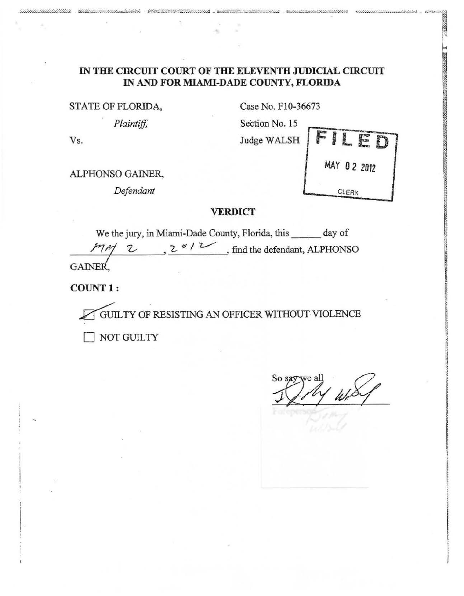# IN THE CIRCUIT COURT OF THE ELEVENTH JUDICIAL CIRCUIT IN AND FOR MIAMI-DADE COUNTY, FLORIDA

STATE OF FLORIDA,

Plaintiff,

 $\underline{\mathfrak{su}}\xspace\text{in}\xspace\text{in}\xspace\text{in}\xspace\text{in}\xspace\text{in}\xspace\text{in}\xspace\text{in}\xspace\text{in}\xspace\text{in}\xspace\text{in}\xspace\text{in}\xspace\text{in}\xspace\text{in}\xspace\text{in}\xspace\text{in}\xspace\text{in}\xspace\text{in}\xspace\text{in}\xspace\text{in}\xspace\text{in}\xspace\text{in}\xspace\text{in}\xspace\text{in}\xspace\text{in}\xspace\text{in}\xspace\text{in}\xspace\text{in}\xspace\text{in}\xspace\text{in}\xspace\text{in$ 

Case No. F10-36673

exclusive contractives.

MAY 02 2012

CLERK

AN ORDER OF THE WARD OF THE WARD OF THE WARD

Section No. 15 Judge WALSH



printing opportunities

ALPHONSO GAINER,

Defendant

### **VERDICT**

We the jury, in Miami-Dade County, Florida, this \_\_\_\_\_\_ day of MM 2  $v/2$ , find the defendant, ALPHONSO GAINER,

COUNT 1:

GUILTY OF RESISTING AN OFFICER WITHOUT VIOLENCE

NOT GUILTY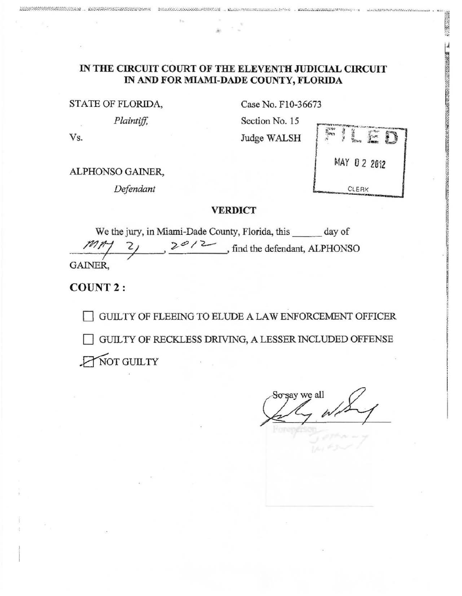# IN THE CIRCUIT COURT OF THE ELEVENTH JUDICIAL CIRCUIT IN AND FOR MIAMI-DADE COUNTY, FLORIDA

STATE OF FLORIDA,

Plaintiff,

Case No. F10-36673

Section No. 15 Judge WALSH



2000 2000

THE REPORT OF THE REPORT OF THE RESIDENCE OF THE RESIDENCE OF THE REPORT OF THE REPORT OF THE REPORT OF THE RE

Vs.

ALPHONSO GAINER,

Defendant

#### **VERDICT**

We the jury, in Miami-Dade County, Florida, this day of  $2^{\infty}$ / 2 find the defendant, ALPHONSO **GAINER.** 

**COUNT 2:** 

GUILTY OF FLEEING TO ELUDE A LAW ENFORCEMENT OFFICER GUILTY OF RECKLESS DRIVING, A LESSER INCLUDED OFFENSE NOT GUILTY

say we all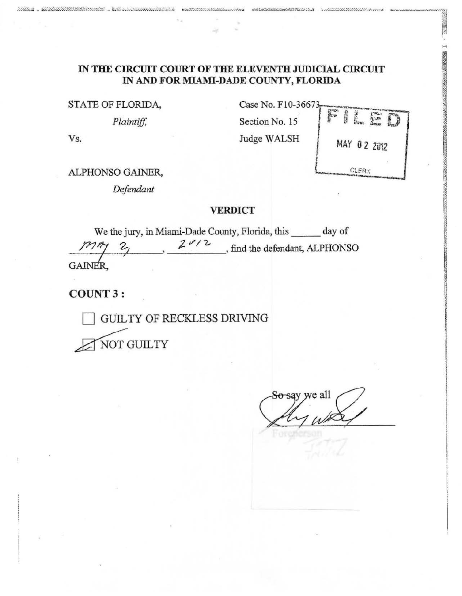### IN THE CIRCUIT COURT OF THE ELEVENTH JUDICIAL CIRCUIT IN AND FOR MIAMI-DADE COUNTY, FLORIDA

STATE OF FLORIDA,

ASAN MAGAALADA ... kaleen maangaalada kees

*Plaintiff,* 

Vs.

Case No. F10-36673 Section No. 15 Judge WALSH



**NAMES OF STREET AND DESCRIPTIONS** 

ALPHONSO GAINER,

*Defendant* 

#### **VERDICT**

We the jury, in Miami-Dade County, Florida, this day of  $\mathcal{Z}_1$  ,  $\mathcal{Z}^{\mathscr{A}/2}$ , find the defendant, ALPHONSO GAINER,

COUNT 3:

GUIL TY OF RECKLESS DRIVING

NOT GUILTY

we all